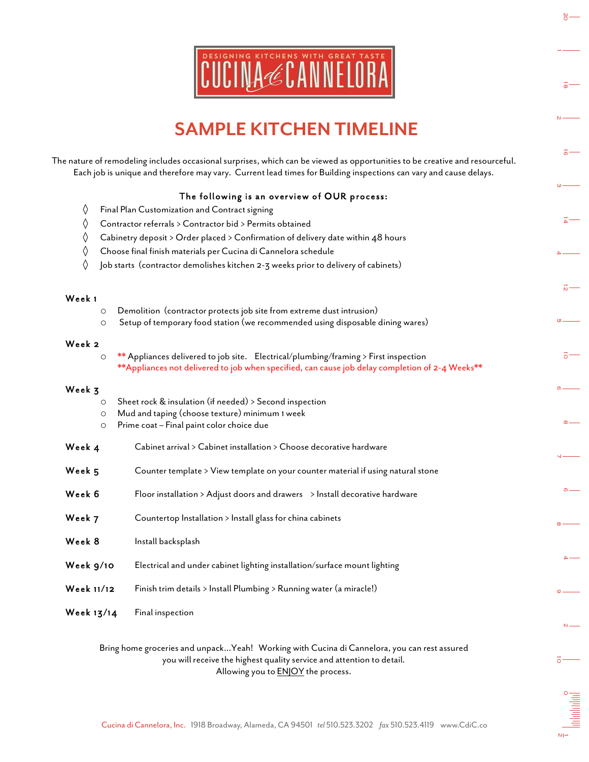

## SAMPLE KITCHEN TIMELINE

|                   |                                                                                                                                                                                                                                                 | õ                        |
|-------------------|-------------------------------------------------------------------------------------------------------------------------------------------------------------------------------------------------------------------------------------------------|--------------------------|
|                   | DESIGNING KITCHENS WITH GREAT TASTE                                                                                                                                                                                                             | $\overline{\circ}$       |
|                   | <b>SAMPLE KITCHEN TIMELINE</b>                                                                                                                                                                                                                  | $N -$                    |
|                   | e nature of remodeling includes occasional surprises, which can be viewed as opportunities to be creative and resourceful.<br>Each job is unique and therefore may vary. Current lead times for Building inspections can vary and cause delays. | $\vec{0}$                |
|                   | The following is an overview of OUR process:                                                                                                                                                                                                    | $\omega$ —               |
| ♦                 | Final Plan Customization and Contract signing                                                                                                                                                                                                   | $\overline{4}$           |
| ♦                 | Contractor referrals > Contractor bid > Permits obtained                                                                                                                                                                                        |                          |
| ◊<br>♦            | Cabinetry deposit > Order placed > Confirmation of delivery date within 48 hours<br>Choose final finish materials per Cucina di Cannelora schedule                                                                                              | $-4$                     |
| ♦                 | Job starts (contractor demolishes kitchen 2-3 weeks prior to delivery of cabinets)                                                                                                                                                              |                          |
|                   |                                                                                                                                                                                                                                                 | $\vec{p}$                |
| Week 1            |                                                                                                                                                                                                                                                 |                          |
| $\circ$           | Demolition (contractor protects job site from extreme dust intrusion)                                                                                                                                                                           |                          |
| $\circ$           | Setup of temporary food station (we recommended using disposable dining wares)                                                                                                                                                                  | $\mathfrak{a}-$          |
| Week 2<br>$\circ$ | ** Appliances delivered to job site. Electrical/plumbing/framing > First inspection<br>**Appliances not delivered to job when specified, can cause job delay completion of 2-4 Weeks**                                                          | $\vec{o}$                |
| Week 3            |                                                                                                                                                                                                                                                 | $\circ$ –                |
| $\circ$           | Sheet rock & insulation (if needed) > Second inspection                                                                                                                                                                                         |                          |
| $\circ$<br>O      | Mud and taping (choose texture) minimum 1 week<br>Prime coat - Final paint color choice due                                                                                                                                                     | $\infty$                 |
|                   |                                                                                                                                                                                                                                                 |                          |
| Week 4            | Cabinet arrival > Cabinet installation > Choose decorative hardware                                                                                                                                                                             | $\overline{\phantom{0}}$ |
| Week 5            | Counter template > View template on your counter material if using natural stone                                                                                                                                                                |                          |
| Week 6            | Floor installation > Adjust doors and drawers $\rightarrow$ Install decorative hardware                                                                                                                                                         | $\sigma$                 |
| Week 7            | Countertop Installation > Install glass for china cabinets                                                                                                                                                                                      | $\infty$ —               |
| Week 8            | Install backsplash                                                                                                                                                                                                                              |                          |
| Week 9/10         | Electrical and under cabinet lighting installation/surface mount lighting                                                                                                                                                                       | 4                        |
| Week 11/12        | Finish trim details > Install Plumbing > Running water (a miracle!)                                                                                                                                                                             | $\circ$ $-$              |
| Week 13/14        | Final inspection                                                                                                                                                                                                                                | $\mathsf N$              |
|                   | Bring home groceries and unpackYeah! Working with Cucina di Cannelora, you can rest assured<br>you will receive the highest quality service and attention to detail.<br>Allowing you to <b>ENJOY</b> the process.                               | $\bar{\circ}$ $-$        |
|                   |                                                                                                                                                                                                                                                 |                          |

**CONTROVING** י⊨מ

 $\frac{8}{5}$ 

 $\vec{a}$ .

 $\overline{a}$  –